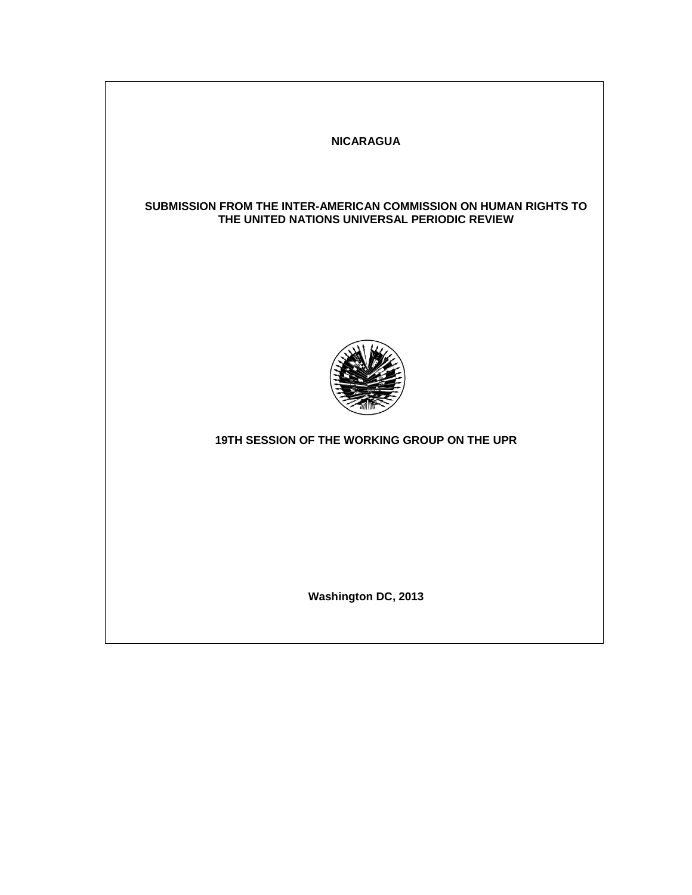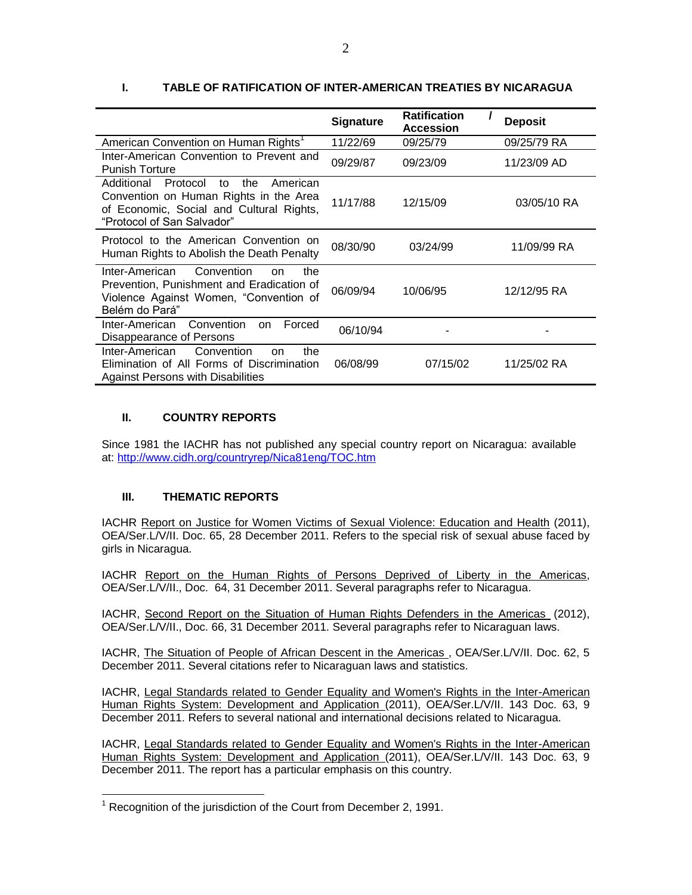|                                                                                                                                                                     | <b>Signature</b> | <b>Ratification</b><br><b>Accession</b> | <b>Deposit</b> |
|---------------------------------------------------------------------------------------------------------------------------------------------------------------------|------------------|-----------------------------------------|----------------|
| American Convention on Human Rights <sup>1</sup>                                                                                                                    | 11/22/69         | 09/25/79                                | 09/25/79 RA    |
| Inter-American Convention to Prevent and<br><b>Punish Torture</b>                                                                                                   | 09/29/87         | 09/23/09                                | 11/23/09 AD    |
| Additional<br>Protocol<br>American<br>to<br>the<br>Convention on Human Rights in the Area<br>of Economic, Social and Cultural Rights,<br>"Protocol of San Salvador" | 11/17/88         | 12/15/09                                | 03/05/10 RA    |
| Protocol to the American Convention on<br>Human Rights to Abolish the Death Penalty                                                                                 | 08/30/90         | 03/24/99                                | 11/09/99 RA    |
| Convention<br>Inter-American<br>the<br>on<br>Prevention, Punishment and Eradication of<br>Violence Against Women, "Convention of<br>Belém do Pará"                  | 06/09/94         | 10/06/95                                | 12/12/95 RA    |
| Inter-American<br>Convention<br>Forced<br><sub>on</sub><br>Disappearance of Persons                                                                                 | 06/10/94         |                                         |                |
| Inter-American<br>Convention<br>the<br>on<br>Elimination of All Forms of Discrimination<br>Against Persons with Disabilities                                        | 06/08/99         | 07/15/02                                | 11/25/02 RA    |

# **I. TABLE OF RATIFICATION OF INTER-AMERICAN TREATIES BY NICARAGUA**

## **II. COUNTRY REPORTS**

Since 1981 the IACHR has not published any special country report on Nicaragua: available at:<http://www.cidh.org/countryrep/Nica81eng/TOC.htm>

# **III. THEMATIC REPORTS**

 $\overline{a}$ 

IACHR [Report on Justice for Women Victims of Sexual Violence: Education and Health](http://www.oas.org/en/iachr/women/docs/pdf/SEXUALVIOLENCEEducHealth.pdf) (2011), OEA/Ser.L/V/II. Doc. 65, 28 December 2011. Refers to the special risk of sexual abuse faced by girls in Nicaragua.

IACHR Report on the Human [Rights of Persons Deprived of Liberty in the Americas,](http://www.oas.org/en/iachr/pdl/docs/pdf/PPL2011eng.pdf) OEA/Ser.L/V/II., Doc. 64, 31 December 2011. Several paragraphs refer to Nicaragua.

IACHR, Second [Report on the Situation of Human Rights Defenders in the Americas](http://www.oas.org/en/iachr/defenders/docs/pdf/defenders2011.pdf) (2012), OEA/Ser.L/V/II., Doc. 66, 31 December 2011. Several paragraphs refer to Nicaraguan laws.

IACHR, The Situation [of People of African Descent in the Americas ,](http://www.oas.org/en/iachr/afro-descendants/docs/pdf/AFROS_2011_ENG.pdf) OEA/Ser.L/V/II. Doc. 62, 5 December 2011. Several citations refer to Nicaraguan laws and statistics.

IACHR, [Legal Standards related to Gender Equality and Women's Rights in the Inter-American](http://www.oas.org/en/iachr/women/docs/pdf/REGIONALst.pdf)  [Human Rights System: Development and Application \(](http://www.oas.org/en/iachr/women/docs/pdf/REGIONALst.pdf)2011), OEA/Ser.L/V/II. 143 Doc. 63, 9 December 2011. Refers to several national and international decisions related to Nicaragua.

IACHR, [Legal Standards related to Gender Equality and Women's Rights in the Inter-American](http://www.oas.org/en/iachr/women/docs/pdf/REGIONALst.pdf)  [Human Rights System: Development and Application \(](http://www.oas.org/en/iachr/women/docs/pdf/REGIONALst.pdf)2011), OEA/Ser.L/V/II. 143 Doc. 63, 9 December 2011. The report has a particular emphasis on this country.

 $1$  Recognition of the jurisdiction of the Court from December 2, 1991.